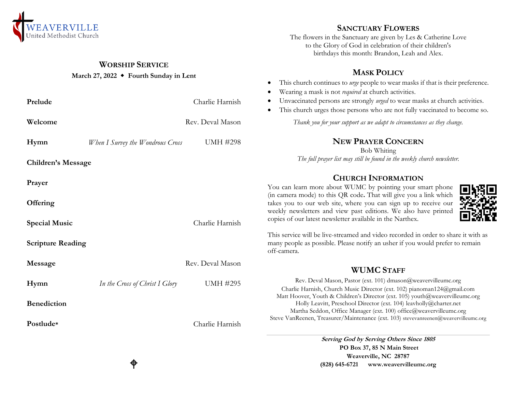

## **WORSHIP SERVICE**

## **March 27, 2022 Fourth Sunday in Lent**

| Prelude                   |                                  | Charlie Harnish  | Wearing a mask is not <i>required</i> at church activities.<br>Unvaccinated persons are strongly urged to wear masks at church activities.<br>This church urges those persons who are not fully vaccinated to become so.<br>٠ |
|---------------------------|----------------------------------|------------------|-------------------------------------------------------------------------------------------------------------------------------------------------------------------------------------------------------------------------------|
| Welcome                   |                                  | Rev. Deval Mason | Thank you for your support as we adapt to circumstances as they change.                                                                                                                                                       |
| Hymn                      | When I Survey the Wondrous Cross | <b>UMH #298</b>  | <b>NEW PRAYER CONCERN</b><br><b>Bob Whiting</b>                                                                                                                                                                               |
| <b>Children's Message</b> |                                  |                  | The full prayer list may still be found in the weekly church newsletter.                                                                                                                                                      |
| Prayer                    |                                  |                  | <b>CHURCH INFORMATION</b><br>You can learn more about WUMC by pointing your smart phone                                                                                                                                       |
| Offering                  |                                  |                  | (in camera mode) to this QR code. That will give you a link which<br>takes you to our web site, where you can sign up to receive our<br>weekly newsletters and view past editions. We also have printed                       |
| <b>Special Music</b>      |                                  | Charlie Harnish  | copies of our latest newsletter available in the Narthex.                                                                                                                                                                     |
| <b>Scripture Reading</b>  |                                  |                  | This service will be live-streamed and video recorded in order to share it with as<br>many people as possible. Please notify an usher if you would prefer to remain<br>off-camera.                                            |
| Message                   |                                  | Rev. Deval Mason | <b>WUMC STAFF</b>                                                                                                                                                                                                             |
| Hymn                      | In the Cross of Christ I Glory   | <b>UMH #295</b>  | Rev. Deval Mason, Pastor (ext. 101) dmason@weavervilleumc.org<br>Charlie Harnish, Church Music Director (ext. 102) pianoman124@gmail.com<br>Matt Hoover, Youth & Children's Director (ext. 105) youth@weavervilleumc.org      |
| <b>Benediction</b>        |                                  |                  | Holly Leavitt, Preschool Director (ext. 104) leavholly@charter.net<br>Martha Seddon, Office Manager (ext. 100) office@weavervilleumc.org                                                                                      |
| Postlude*                 |                                  | Charlie Harnish  | Steve VanReenen, Treasurer/Maintenance (ext. 103) stevevanreenen@weavervilleumc.org                                                                                                                                           |
|                           |                                  |                  | Serving God by Serving Others Since 1805                                                                                                                                                                                      |

**PO Box 37, 85 N Main Street Weaverville, NC 28787 (828) 645-6721 [www.weavervilleumc.org](http://www.weavervilleumc.org/)**

**SANCTUARY FLOWERS** The flowers in the Sanctuary are given by Les & Catherine Love to the Glory of God in celebration of their children's birthdays this month: Brandon, Leah and Alex.

**MASK POLICY** This church continues to *urge* people to wear masks if that is their preference.